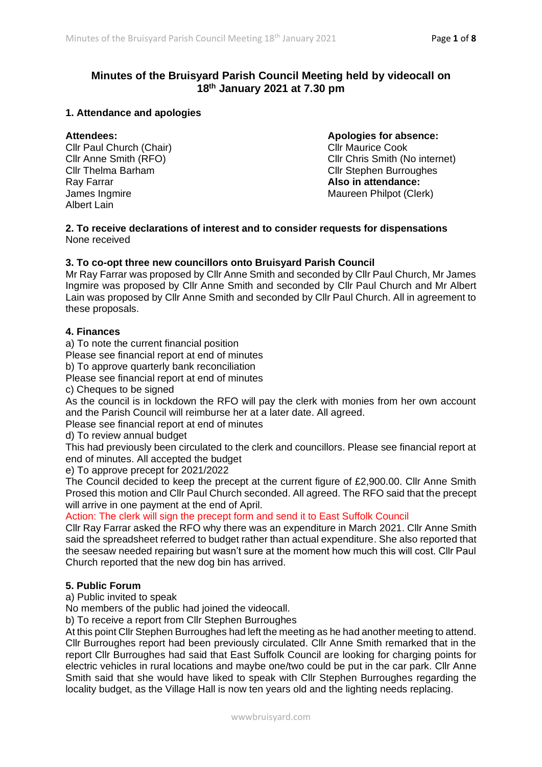# **Minutes of the Bruisyard Parish Council Meeting held by videocall on 18th January 2021 at 7.30 pm**

# **1. Attendance and apologies**

Cllr Paul Church (Chair) Cllr Maurice Cook Ray Farrar **Also in attendance:** James Ingmire **Maureen Philpot (Clerk)** Maureen Philpot (Clerk) Albert Lain

# **Attendees: Apologies for absence:**

Cllr Anne Smith (RFO) Cllr Chris Smith (No internet) Cllr Thelma Barham Cllr Stephen Burroughes

**2. To receive declarations of interest and to consider requests for dispensations** None received

# **3. To co-opt three new councillors onto Bruisyard Parish Council**

Mr Ray Farrar was proposed by Cllr Anne Smith and seconded by Cllr Paul Church, Mr James Ingmire was proposed by Cllr Anne Smith and seconded by Cllr Paul Church and Mr Albert Lain was proposed by Cllr Anne Smith and seconded by Cllr Paul Church. All in agreement to these proposals.

## **4. Finances**

a) To note the current financial position

Please see financial report at end of minutes

b) To approve quarterly bank reconciliation

Please see financial report at end of minutes

c) Cheques to be signed

As the council is in lockdown the RFO will pay the clerk with monies from her own account and the Parish Council will reimburse her at a later date. All agreed.

Please see financial report at end of minutes

d) To review annual budget

This had previously been circulated to the clerk and councillors. Please see financial report at end of minutes. All accepted the budget

e) To approve precept for 2021/2022

The Council decided to keep the precept at the current figure of £2,900.00. Cllr Anne Smith Prosed this motion and Cllr Paul Church seconded. All agreed. The RFO said that the precept will arrive in one payment at the end of April.

# Action: The clerk will sign the precept form and send it to East Suffolk Council

Cllr Ray Farrar asked the RFO why there was an expenditure in March 2021. Cllr Anne Smith said the spreadsheet referred to budget rather than actual expenditure. She also reported that the seesaw needed repairing but wasn't sure at the moment how much this will cost. Cllr Paul Church reported that the new dog bin has arrived.

### **5. Public Forum**

a) Public invited to speak

No members of the public had joined the videocall.

b) To receive a report from Cllr Stephen Burroughes

At this point Cllr Stephen Burroughes had left the meeting as he had another meeting to attend. Cllr Burroughes report had been previously circulated. Cllr Anne Smith remarked that in the report Cllr Burroughes had said that East Suffolk Council are looking for charging points for electric vehicles in rural locations and maybe one/two could be put in the car park. Cllr Anne Smith said that she would have liked to speak with Cllr Stephen Burroughes regarding the locality budget, as the Village Hall is now ten years old and the lighting needs replacing.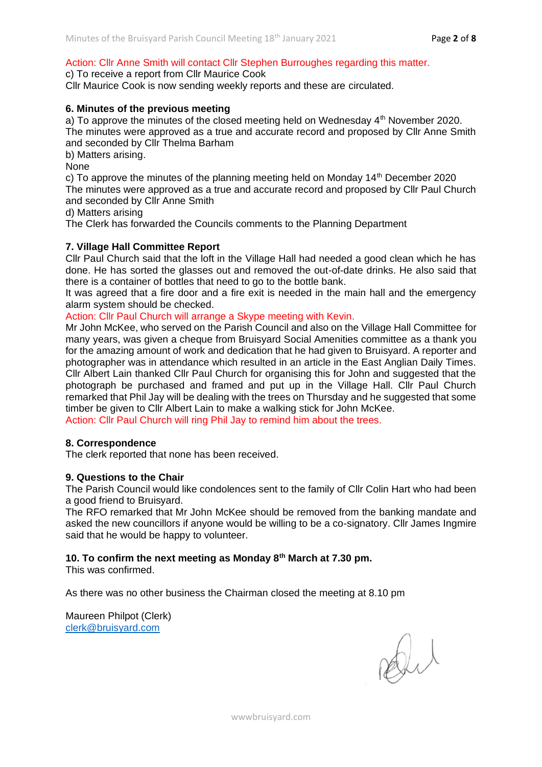# Action: Cllr Anne Smith will contact Cllr Stephen Burroughes regarding this matter.

### c) To receive a report from Cllr Maurice Cook

Cllr Maurice Cook is now sending weekly reports and these are circulated.

## **6. Minutes of the previous meeting**

a) To approve the minutes of the closed meeting held on Wednesday  $4<sup>th</sup>$  November 2020.

The minutes were approved as a true and accurate record and proposed by Cllr Anne Smith and seconded by Cllr Thelma Barham

b) Matters arising.

None

c) To approve the minutes of the planning meeting held on Monday  $14<sup>th</sup>$  December 2020 The minutes were approved as a true and accurate record and proposed by Cllr Paul Church and seconded by Cllr Anne Smith

d) Matters arising

The Clerk has forwarded the Councils comments to the Planning Department

# **7. Village Hall Committee Report**

Cllr Paul Church said that the loft in the Village Hall had needed a good clean which he has done. He has sorted the glasses out and removed the out-of-date drinks. He also said that there is a container of bottles that need to go to the bottle bank.

It was agreed that a fire door and a fire exit is needed in the main hall and the emergency alarm system should be checked.

Action: Cllr Paul Church will arrange a Skype meeting with Kevin.

Mr John McKee, who served on the Parish Council and also on the Village Hall Committee for many years, was given a cheque from Bruisyard Social Amenities committee as a thank you for the amazing amount of work and dedication that he had given to Bruisyard. A reporter and photographer was in attendance which resulted in an article in the East Anglian Daily Times. Cllr Albert Lain thanked Cllr Paul Church for organising this for John and suggested that the photograph be purchased and framed and put up in the Village Hall. Cllr Paul Church remarked that Phil Jay will be dealing with the trees on Thursday and he suggested that some timber be given to Cllr Albert Lain to make a walking stick for John McKee.

Action: Cllr Paul Church will ring Phil Jay to remind him about the trees.

### **8. Correspondence**

The clerk reported that none has been received.

### **9. Questions to the Chair**

The Parish Council would like condolences sent to the family of Cllr Colin Hart who had been a good friend to Bruisyard.

The RFO remarked that Mr John McKee should be removed from the banking mandate and asked the new councillors if anyone would be willing to be a co-signatory. Cllr James Ingmire said that he would be happy to volunteer.

### **10. To confirm the next meeting as Monday 8th March at 7.30 pm.**

This was confirmed.

As there was no other business the Chairman closed the meeting at 8.10 pm

Maureen Philpot (Clerk) [clerk@bruisyard.com](mailto:clerk@bruisyard.com)

Di

wwwbruisyard.com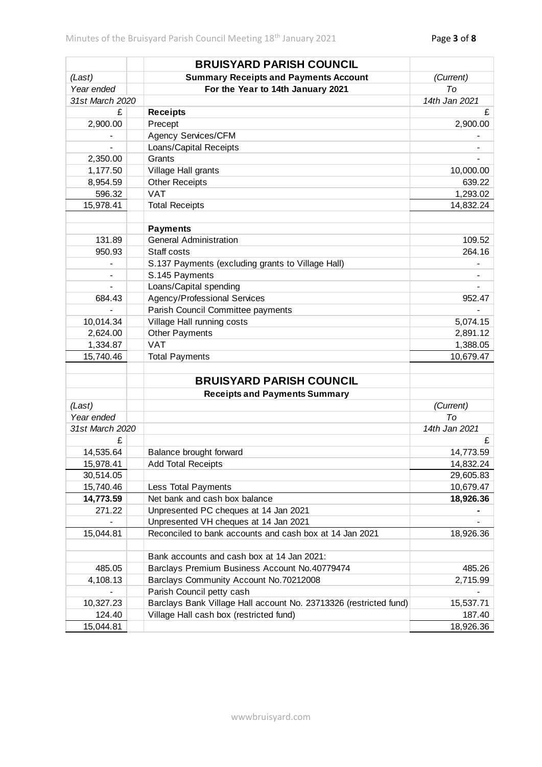|                     | <b>BRUISYARD PARISH COUNCIL</b>                                                                  |               |
|---------------------|--------------------------------------------------------------------------------------------------|---------------|
| (Last)              | <b>Summary Receipts and Payments Account</b>                                                     | (Current)     |
| Year ended          | For the Year to 14th January 2021                                                                | To            |
| 31st March 2020     |                                                                                                  | 14th Jan 2021 |
| £                   | <b>Receipts</b>                                                                                  | £             |
| 2,900.00            | Precept                                                                                          | 2,900.00      |
|                     | Agency Services/CFM                                                                              |               |
| $\overline{a}$      | Loans/Capital Receipts                                                                           |               |
| 2,350.00            | Grants                                                                                           |               |
| 1,177.50            | Village Hall grants                                                                              | 10,000.00     |
| 8,954.59            | <b>Other Receipts</b>                                                                            | 639.22        |
| 596.32              | <b>VAT</b>                                                                                       | 1,293.02      |
| 15,978.41           | <b>Total Receipts</b>                                                                            | 14,832.24     |
|                     |                                                                                                  |               |
|                     | <b>Payments</b>                                                                                  |               |
| 131.89              | <b>General Administration</b>                                                                    | 109.52        |
| 950.93              | Staff costs                                                                                      | 264.16        |
|                     | S.137 Payments (excluding grants to Village Hall)                                                |               |
|                     | S.145 Payments                                                                                   |               |
|                     | Loans/Capital spending                                                                           |               |
| 684.43              | Agency/Professional Services                                                                     | 952.47        |
|                     | Parish Council Committee payments                                                                |               |
| 10,014.34           | Village Hall running costs                                                                       | 5,074.15      |
| 2,624.00            | <b>Other Payments</b>                                                                            | 2,891.12      |
| 1,334.87            | <b>VAT</b>                                                                                       | 1,388.05      |
| 15,740.46           | <b>Total Payments</b>                                                                            | 10,679.47     |
|                     | <b>BRUISYARD PARISH COUNCIL</b>                                                                  |               |
|                     | <b>Receipts and Payments Summary</b>                                                             |               |
| (Last)              |                                                                                                  | (Current)     |
| Year ended          |                                                                                                  | To            |
| 31st March 2020     |                                                                                                  | 14th Jan 2021 |
| £                   |                                                                                                  | £             |
| 14,535.64           | Balance brought forward                                                                          | 14,773.59     |
| 15,978.41           | <b>Add Total Receipts</b>                                                                        | 14,832.24     |
| 30,514.05           |                                                                                                  | 29,605.83     |
| 15,740.46           |                                                                                                  | 10,679.47     |
|                     | Less Total Payments<br>Net bank and cash box balance                                             |               |
| 14,773.59<br>271.22 |                                                                                                  | 18,926.36     |
|                     | Unpresented PC cheques at 14 Jan 2021                                                            |               |
| 15,044.81           | Unpresented VH cheques at 14 Jan 2021<br>Reconciled to bank accounts and cash box at 14 Jan 2021 | 18,926.36     |
|                     |                                                                                                  |               |
|                     | Bank accounts and cash box at 14 Jan 2021:                                                       |               |
| 485.05              | Barclays Premium Business Account No.40779474                                                    | 485.26        |
| 4,108.13            | Barclays Community Account No.70212008                                                           | 2,715.99      |
|                     | Parish Council petty cash                                                                        |               |
| 10,327.23           | Barclays Bank Village Hall account No. 23713326 (restricted fund)                                | 15,537.71     |
| 124.40              | Village Hall cash box (restricted fund)                                                          | 187.40        |
| 15,044.81           |                                                                                                  | 18,926.36     |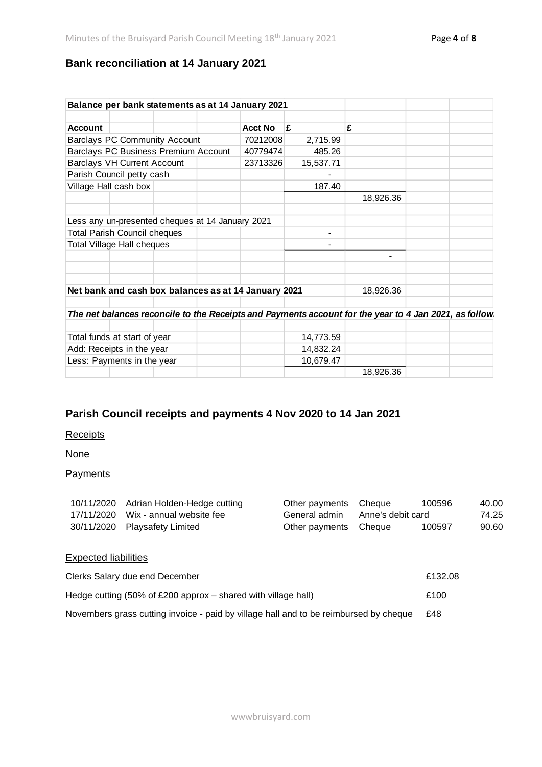# **Bank reconciliation at 14 January 2021**

|                                      |                                                  |  |          | Balance per bank statements as at 14 January 2021    |           |                                                                                                       |  |
|--------------------------------------|--------------------------------------------------|--|----------|------------------------------------------------------|-----------|-------------------------------------------------------------------------------------------------------|--|
|                                      |                                                  |  |          |                                                      |           |                                                                                                       |  |
| <b>Account</b>                       |                                                  |  |          | <b>Acct No</b>                                       | £         | £                                                                                                     |  |
| <b>Barclays PC Community Account</b> |                                                  |  | 70212008 | 2,715.99                                             |           |                                                                                                       |  |
|                                      | Barclays PC Business Premium Account             |  |          | 40779474                                             | 485.26    |                                                                                                       |  |
|                                      | <b>Barclays VH Current Account</b>               |  |          | 23713326                                             | 15,537.71 |                                                                                                       |  |
|                                      | Parish Council petty cash                        |  |          |                                                      |           |                                                                                                       |  |
|                                      | Village Hall cash box                            |  |          |                                                      | 187.40    |                                                                                                       |  |
|                                      |                                                  |  |          |                                                      |           | 18,926.36                                                                                             |  |
|                                      | Less any un-presented cheques at 14 January 2021 |  |          |                                                      |           |                                                                                                       |  |
|                                      | <b>Total Parish Council cheques</b>              |  |          |                                                      | ۰         |                                                                                                       |  |
| Total Village Hall cheques           |                                                  |  |          |                                                      |           |                                                                                                       |  |
|                                      |                                                  |  |          |                                                      |           | -                                                                                                     |  |
|                                      |                                                  |  |          | Net bank and cash box balances as at 14 January 2021 |           | 18,926.36                                                                                             |  |
|                                      |                                                  |  |          |                                                      |           |                                                                                                       |  |
|                                      |                                                  |  |          |                                                      |           | The net balances reconcile to the Receipts and Payments account for the year to 4 Jan 2021, as follow |  |
|                                      | Total funds at start of year                     |  |          |                                                      | 14,773.59 |                                                                                                       |  |
| Add: Receipts in the year            |                                                  |  |          | 14,832.24                                            |           |                                                                                                       |  |
| Less: Payments in the year           |                                                  |  |          | 10,679.47                                            |           |                                                                                                       |  |
|                                      |                                                  |  |          |                                                      |           | 18,926.36                                                                                             |  |

# **Parish Council receipts and payments 4 Nov 2020 to 14 Jan 2021**

# **Receipts**

None

# **Payments**

| 10/11/2020 Adrian Holden-Hedge cutting | Other payments Cheque           | 100596 | 40.00 |
|----------------------------------------|---------------------------------|--------|-------|
| 17/11/2020 Wix - annual website fee    | General admin Anne's debit card |        | 74.25 |
| 30/11/2020 Playsafety Limited          | Other payments Cheque           | 100597 | 90.60 |

# Expected liabilities

| Clerks Salary due end December                                                           | £132.08 |
|------------------------------------------------------------------------------------------|---------|
| Hedge cutting $(50\% \text{ of } £200 \text{ approx} - \text{shared with village hall})$ | £100    |
| Novembers grass cutting invoice - paid by village hall and to be reimbursed by cheque    | £48     |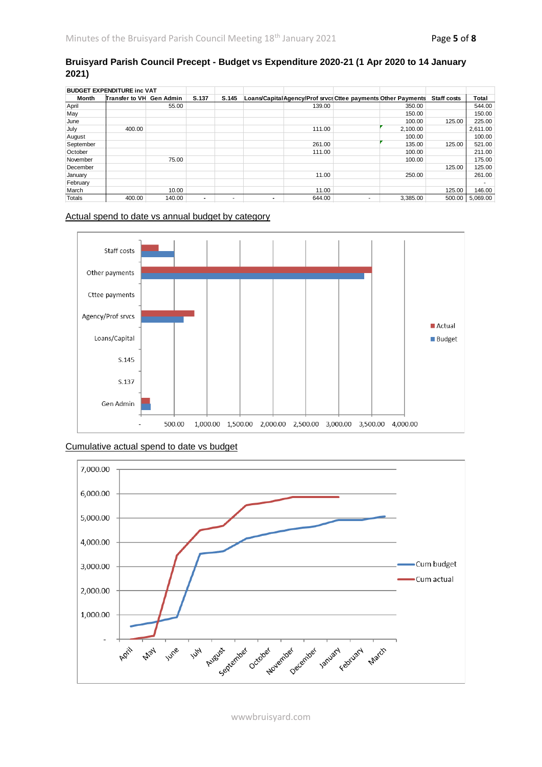## **Bruisyard Parish Council Precept - Budget vs Expenditure 2020-21 (1 Apr 2020 to 14 January 2021)**

| <b>BUDGET EXPENDITURE inc VAT</b> |                          |        |                |       |                |                                                              |   |          |                    |          |
|-----------------------------------|--------------------------|--------|----------------|-------|----------------|--------------------------------------------------------------|---|----------|--------------------|----------|
| Month                             | Transfer to VH Gen Admin |        | S.137          | S.145 |                | Loans/CapitalAgency/Prof srvcs Cttee payments Other Payments |   |          | <b>Staff costs</b> | Total    |
| April                             |                          | 55.00  |                |       |                | 139.00                                                       |   | 350.00   |                    | 544.00   |
| May                               |                          |        |                |       |                |                                                              |   | 150.00   |                    | 150.00   |
| June                              |                          |        |                |       |                |                                                              |   | 100.00   | 125.00             | 225.00   |
| July                              | 400.00                   |        |                |       |                | 111.00                                                       |   | 2,100.00 |                    | 2,611.00 |
| August                            |                          |        |                |       |                |                                                              |   | 100.00   |                    | 100.00   |
| September                         |                          |        |                |       |                | 261.00                                                       |   | 135.00   | 125.00             | 521.00   |
| October                           |                          |        |                |       |                | 111.00                                                       |   | 100.00   |                    | 211.00   |
| November                          |                          | 75.00  |                |       |                |                                                              |   | 100.00   |                    | 175.00   |
| December                          |                          |        |                |       |                |                                                              |   |          | 125.00             | 125.00   |
| January                           |                          |        |                |       |                | 11.00                                                        |   | 250.00   |                    | 261.00   |
| February                          |                          |        |                |       |                |                                                              |   |          |                    |          |
| March                             |                          | 10.00  |                |       |                | 11.00                                                        |   |          | 125.00             | 146.00   |
| Totals                            | 400.00                   | 140.00 | $\blacksquare$ | -     | $\blacksquare$ | 644.00                                                       | ۰ | 3.385.00 | 500.00             | 5.069.00 |

#### Actual spend to date vs annual budget by category







wwwbruisyard.com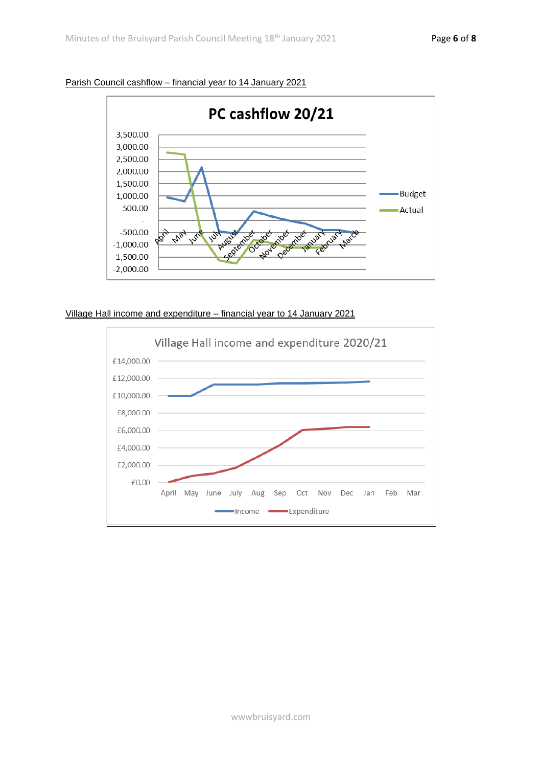

Parish Council cashflow – financial year to 14 January 2021

## Village Hall income and expenditure – financial year to 14 January 2021

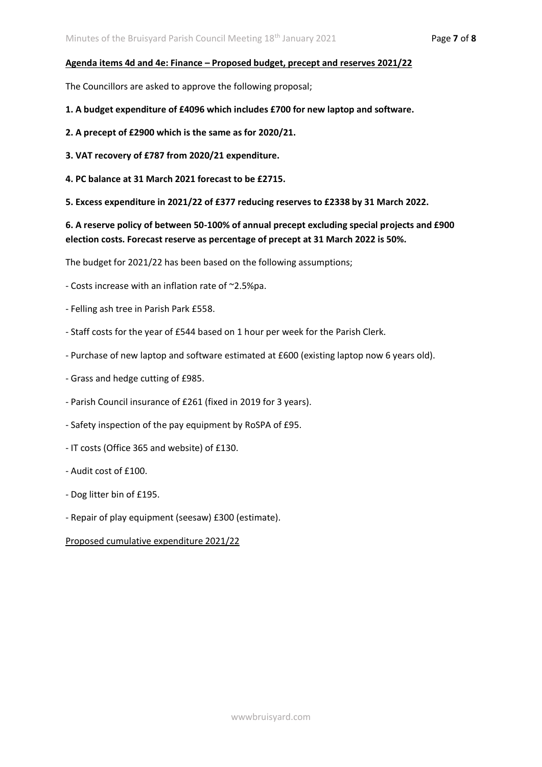#### **Agenda items 4d and 4e: Finance – Proposed budget, precept and reserves 2021/22**

The Councillors are asked to approve the following proposal;

- **1. A budget expenditure of £4096 which includes £700 for new laptop and software.**
- **2. A precept of £2900 which is the same as for 2020/21.**
- **3. VAT recovery of £787 from 2020/21 expenditure.**
- **4. PC balance at 31 March 2021 forecast to be £2715.**
- **5. Excess expenditure in 2021/22 of £377 reducing reserves to £2338 by 31 March 2022.**

**6. A reserve policy of between 50-100% of annual precept excluding special projects and £900 election costs. Forecast reserve as percentage of precept at 31 March 2022 is 50%.**

The budget for 2021/22 has been based on the following assumptions;

- Costs increase with an inflation rate of ~2.5%pa.
- Felling ash tree in Parish Park £558.
- Staff costs for the year of £544 based on 1 hour per week for the Parish Clerk.
- Purchase of new laptop and software estimated at £600 (existing laptop now 6 years old).
- Grass and hedge cutting of £985.
- Parish Council insurance of £261 (fixed in 2019 for 3 years).
- Safety inspection of the pay equipment by RoSPA of £95.
- IT costs (Office 365 and website) of £130.
- Audit cost of £100.
- Dog litter bin of £195.
- Repair of play equipment (seesaw) £300 (estimate).

Proposed cumulative expenditure 2021/22